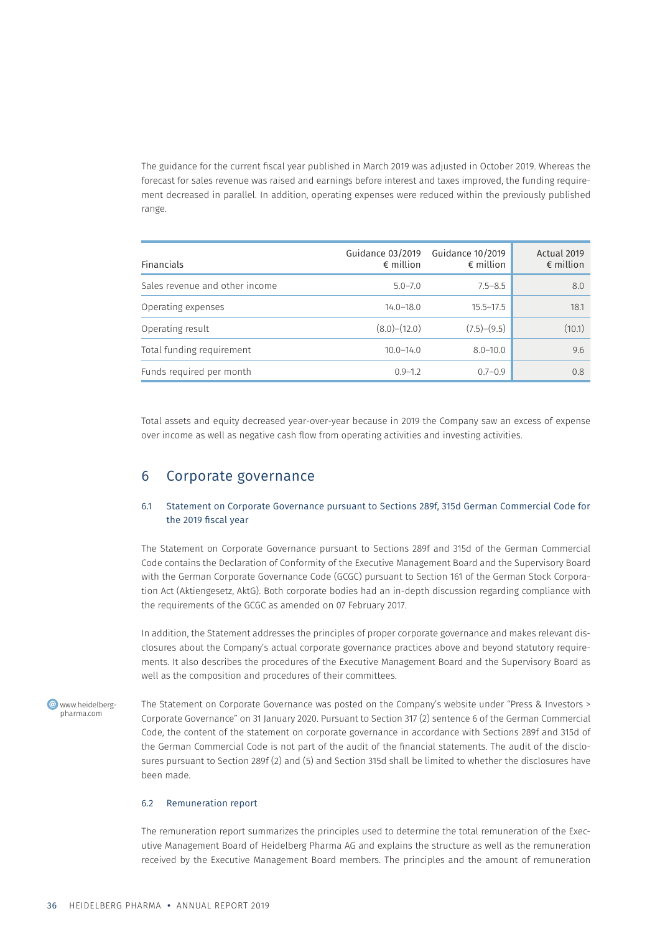The guidance for the current fiscal year published in March 2019 was adjusted in October 2019. Whereas the forecast for sales revenue was raised and earnings before interest and taxes improved, the funding requirement decreased in parallel. In addition, operating expenses were reduced within the previously published range.

| <b>Financials</b>              | Guidance 03/2019<br>$\epsilon$ million | Guidance 10/2019<br>$\epsilon$ million | Actual 2019<br>$\epsilon$ million |
|--------------------------------|----------------------------------------|----------------------------------------|-----------------------------------|
| Sales revenue and other income | $5.0 - 7.0$                            | $7.5 - 8.5$                            | 8.0                               |
| Operating expenses             | $14.0 - 18.0$                          | $15.5 - 17.5$                          | 18.1                              |
| Operating result               | $(8.0)$ – $(12.0)$                     | $(7.5)-(9.5)$                          | (10.1)                            |
| Total funding requirement      | $10.0 - 14.0$                          | $8.0 - 10.0$                           | 9.6                               |
| Funds required per month       | $0.9 - 1.2$                            | $0.7 - 0.9$                            | 0.8                               |

Total assets and equity decreased year-over-year because in 2019 the Company saw an excess of expense over income as well as negative cash flow from operating activities and investing activities.

# 6 Corporate governance

## 6.1 Statement on Corporate Governance pursuant to Sections 289f, 315d German Commercial Code for the 2019 fiscal year

The Statement on Corporate Governance pursuant to Sections 289f and 315d of the German Commercial Code contains the Declaration of Conformity of the Executive Management Board and the Supervisory Board with the German Corporate Governance Code (GCGC) pursuant to Section 161 of the German Stock Corporation Act (Aktiengesetz, AktG). Both corporate bodies had an in-depth discussion regarding compliance with the requirements of the GCGC as amended on 07 February 2017.

In addition, the Statement addresses the principles of proper corporate governance and makes relevant disclosures about the Company's actual corporate governance practices above and beyond statutory requirements. It also describes the procedures of the Executive Management Board and the Supervisory Board as well as the composition and procedures of their committees.

**C** www.heidelbergpharma.com

The Statement on Corporate Governance was posted on the Company's website under "Press & Investors > Corporate Governance" on 31 January 2020. Pursuant to Section 317 (2) sentence 6 of the German Commercial Code, the content of the statement on corporate governance in accordance with Sections 289f and 315d of the German Commercial Code is not part of the audit of the financial statements. The audit of the disclosures pursuant to Section 289f (2) and (5) and Section 315d shall be limited to whether the disclosures have been made.

### 6.2 Remuneration report

The remuneration report summarizes the principles used to determine the total remuneration of the Executive Management Board of Heidelberg Pharma AG and explains the structure as well as the remuneration received by the Executive Management Board members. The principles and the amount of remuneration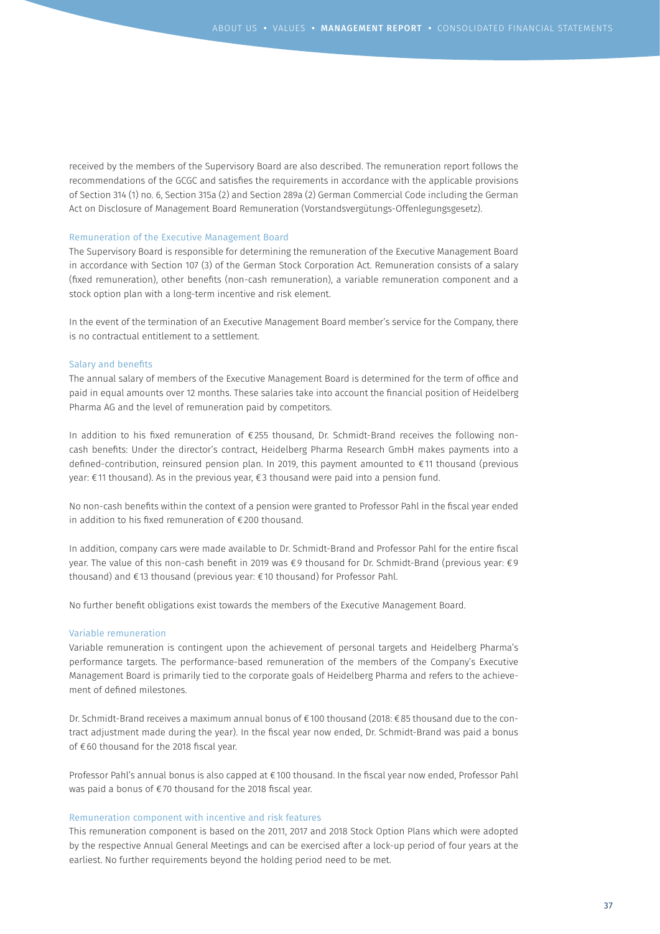received by the members of the Supervisory Board are also described. The remuneration report follows the recommendations of the GCGC and satisfies the requirements in accordance with the applicable provisions of Section 314 (1) no. 6, Section 315a (2) and Section 289a (2) German Commercial Code including the German Act on Disclosure of Management Board Remuneration (Vorstandsvergütungs-Offenlegungsgesetz).

#### Remuneration of the Executive Management Board

The Supervisory Board is responsible for determining the remuneration of the Executive Management Board in accordance with Section 107 (3) of the German Stock Corporation Act. Remuneration consists of a salary (fixed remuneration), other benefits (non-cash remuneration), a variable remuneration component and a stock option plan with a long-term incentive and risk element.

In the event of the termination of an Executive Management Board member's service for the Company, there is no contractual entitlement to a settlement.

#### Salary and benefits

The annual salary of members of the Executive Management Board is determined for the term of office and paid in equal amounts over 12 months. These salaries take into account the financial position of Heidelberg Pharma AG and the level of remuneration paid by competitors.

In addition to his fixed remuneration of €255 thousand, Dr. Schmidt-Brand receives the following noncash benefits: Under the director's contract, Heidelberg Pharma Research GmbH makes payments into a defined-contribution, reinsured pension plan. In 2019, this payment amounted to €11 thousand (previous year: €11 thousand). As in the previous year, €3 thousand were paid into a pension fund.

No non-cash benefits within the context of a pension were granted to Professor Pahl in the fiscal year ended in addition to his fixed remuneration of €200 thousand.

In addition, company cars were made available to Dr. Schmidt-Brand and Professor Pahl for the entire fiscal year. The value of this non-cash benefit in 2019 was €9 thousand for Dr. Schmidt-Brand (previous year: €9 thousand) and €13 thousand (previous year: €10 thousand) for Professor Pahl.

No further benefit obligations exist towards the members of the Executive Management Board.

# Variable remuneration

Variable remuneration is contingent upon the achievement of personal targets and Heidelberg Pharma's performance targets. The performance-based remuneration of the members of the Company's Executive Management Board is primarily tied to the corporate goals of Heidelberg Pharma and refers to the achievement of defined milestones.

Dr. Schmidt-Brand receives a maximum annual bonus of €100 thousand (2018: €85 thousand due to the contract adjustment made during the year). In the fiscal year now ended, Dr. Schmidt-Brand was paid a bonus of €60 thousand for the 2018 fiscal year.

Professor Pahl's annual bonus is also capped at €100 thousand. In the fiscal year now ended, Professor Pahl was paid a bonus of €70 thousand for the 2018 fiscal year.

#### Remuneration component with incentive and risk features

This remuneration component is based on the 2011, 2017 and 2018 Stock Option Plans which were adopted by the respective Annual General Meetings and can be exercised after a lock-up period of four years at the earliest. No further requirements beyond the holding period need to be met.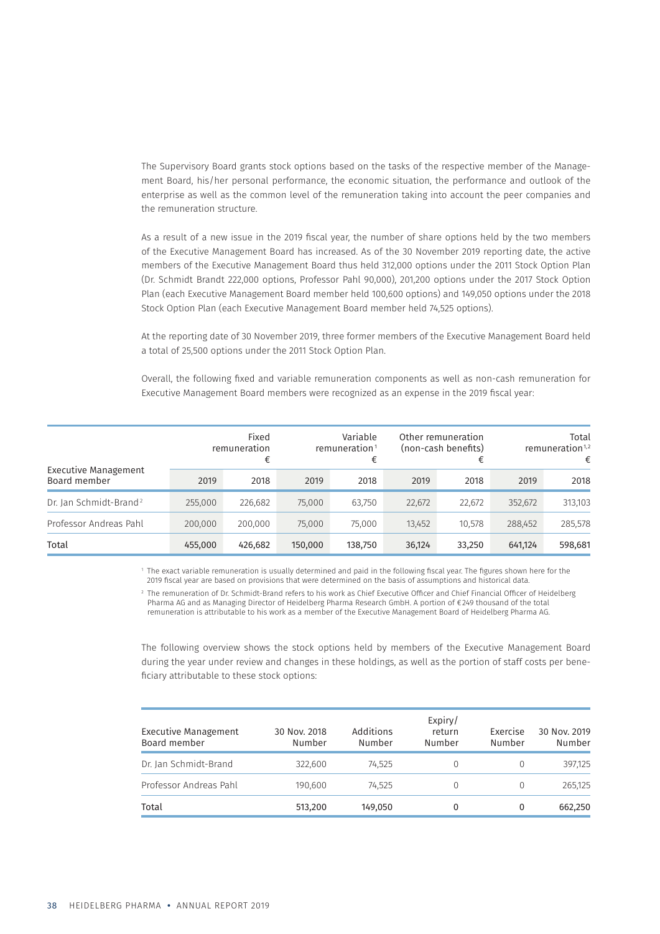The Supervisory Board grants stock options based on the tasks of the respective member of the Management Board, his/her personal performance, the economic situation, the performance and outlook of the enterprise as well as the common level of the remuneration taking into account the peer companies and the remuneration structure.

As a result of a new issue in the 2019 fiscal year, the number of share options held by the two members of the Executive Management Board has increased. As of the 30 November 2019 reporting date, the active members of the Executive Management Board thus held 312,000 options under the 2011 Stock Option Plan (Dr. Schmidt Brandt 222,000 options, Professor Pahl 90,000), 201,200 options under the 2017 Stock Option Plan (each Executive Management Board member held 100,600 options) and 149,050 options under the 2018 Stock Option Plan (each Executive Management Board member held 74,525 options).

At the reporting date of 30 November 2019, three former members of the Executive Management Board held a total of 25,500 options under the 2011 Stock Option Plan.

Overall, the following fixed and variable remuneration components as well as non-cash remuneration for Executive Management Board members were recognized as an expense in the 2019 fiscal year:

| Executive Management<br>Board member |         | Fixed<br>remuneration<br>€ | Variable<br>Other remuneration<br>(non-cash benefits)<br>remuneration <sup>1</sup><br>€ |         | €      | Total<br>remuneration $1,2$<br>€ |         |         |
|--------------------------------------|---------|----------------------------|-----------------------------------------------------------------------------------------|---------|--------|----------------------------------|---------|---------|
|                                      | 2019    | 2018                       | 2019                                                                                    | 2018    | 2019   | 2018                             | 2019    | 2018    |
| Dr. Jan Schmidt-Brand <sup>2</sup>   | 255,000 | 226,682                    | 75,000                                                                                  | 63,750  | 22,672 | 22,672                           | 352,672 | 313,103 |
| Professor Andreas Pahl               | 200,000 | 200,000                    | 75,000                                                                                  | 75,000  | 13,452 | 10.578                           | 288,452 | 285,578 |
| Total                                | 455,000 | 426,682                    | 150,000                                                                                 | 138,750 | 36,124 | 33,250                           | 641,124 | 598,681 |

1 The exact variable remuneration is usually determined and paid in the following fiscal year. The figures shown here for the 2019 fiscal year are based on provisions that were determined on the basis of assumptions and historical data.

2 The remuneration of Dr. Schmidt-Brand refers to his work as Chief Executive Officer and Chief Financial Officer of Heidelberg Pharma AG and as Managing Director of Heidelberg Pharma Research GmbH. A portion of €249 thousand of the total remuneration is attributable to his work as a member of the Executive Management Board of Heidelberg Pharma AG.

The following overview shows the stock options held by members of the Executive Management Board during the year under review and changes in these holdings, as well as the portion of staff costs per beneficiary attributable to these stock options:

| <b>Executive Management</b><br>Board member | 30 Nov. 2018<br>Number | Additions<br>Number | Expiry/<br>return<br>Number | Exercise<br>Number | 30 Nov. 2019<br>Number |
|---------------------------------------------|------------------------|---------------------|-----------------------------|--------------------|------------------------|
| Dr. Jan Schmidt-Brand                       | 322,600                | 74.525              | 0                           |                    | 397.125                |
| Professor Andreas Pahl                      | 190.600                | 74.525              | 0                           | 0                  | 265.125                |
| Total                                       | 513,200                | 149,050             | 0                           | 0                  | 662,250                |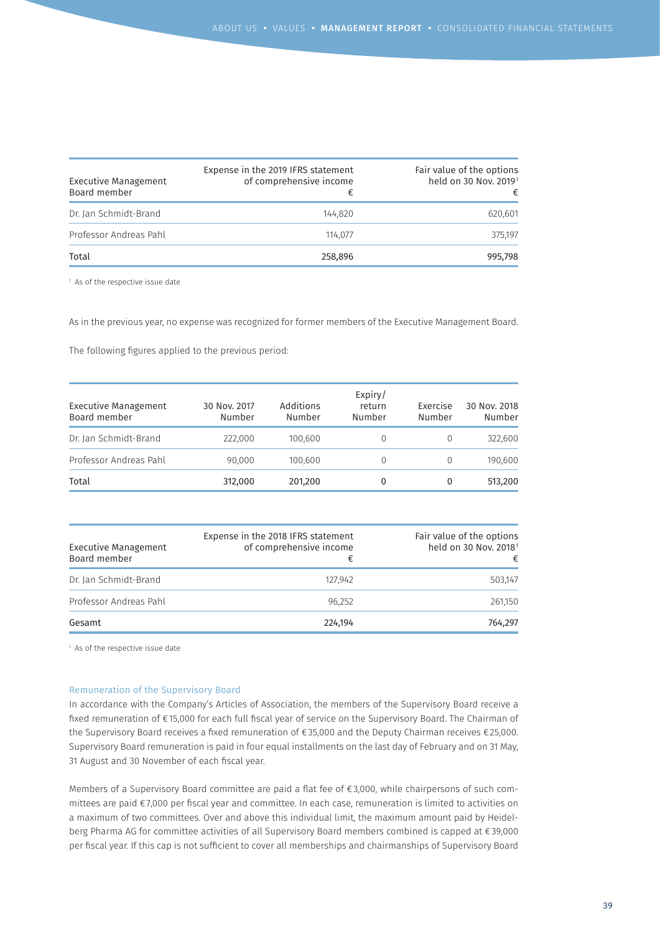| Executive Management<br>Board member | Expense in the 2019 IFRS statement<br>of comprehensive income | Fair value of the options<br>held on 30 Nov. 2019 <sup>1</sup><br>€ |
|--------------------------------------|---------------------------------------------------------------|---------------------------------------------------------------------|
| Dr. Jan Schmidt-Brand                | 144.820                                                       | 620,601                                                             |
| Professor Andreas Pahl               | 114.077                                                       | 375.197                                                             |
| Total                                | 258,896                                                       | 995,798                                                             |

<sup>1</sup> As of the respective issue date

As in the previous year, no expense was recognized for former members of the Executive Management Board.

The following figures applied to the previous period:

| <b>Executive Management</b><br>Board member | 30 Nov. 2017<br>Number | Additions<br>Number | Expiry/<br>return<br>Number | Exercise<br>Number | 30 Nov. 2018<br>Number |
|---------------------------------------------|------------------------|---------------------|-----------------------------|--------------------|------------------------|
| Dr. Jan Schmidt-Brand                       | 222,000                | 100.600             | $\Omega$                    |                    | 322,600                |
| Professor Andreas Pahl                      | 90.000                 | 100.600             | 0                           |                    | 190.600                |
| Total                                       | 312,000                | 201,200             | 0                           | 0                  | 513,200                |

| <b>Executive Management</b><br>Board member | Expense in the 2018 IFRS statement<br>of comprehensive income<br>€ | Fair value of the options<br>held on 30 Nov. 2018 <sup>1</sup><br>€ |
|---------------------------------------------|--------------------------------------------------------------------|---------------------------------------------------------------------|
| Dr. Jan Schmidt-Brand                       | 127.942                                                            | 503.147                                                             |
| Professor Andreas Pahl                      | 96.252                                                             | 261,150                                                             |
| Gesamt                                      | 224,194                                                            | 764.297                                                             |

<sup>1</sup> As of the respective issue date

#### Remuneration of the Supervisory Board

In accordance with the Company's Articles of Association, the members of the Supervisory Board receive a fixed remuneration of €15,000 for each full fiscal year of service on the Supervisory Board. The Chairman of the Supervisory Board receives a fixed remuneration of €35,000 and the Deputy Chairman receives €25,000. Supervisory Board remuneration is paid in four equal installments on the last day of February and on 31 May, 31 August and 30 November of each fiscal year.

Members of a Supervisory Board committee are paid a flat fee of €3,000, while chairpersons of such committees are paid €7,000 per fiscal year and committee. In each case, remuneration is limited to activities on a maximum of two committees. Over and above this individual limit, the maximum amount paid by Heidelberg Pharma AG for committee activities of all Supervisory Board members combined is capped at €39,000 per fiscal year. If this cap is not sufficient to cover all memberships and chairmanships of Supervisory Board